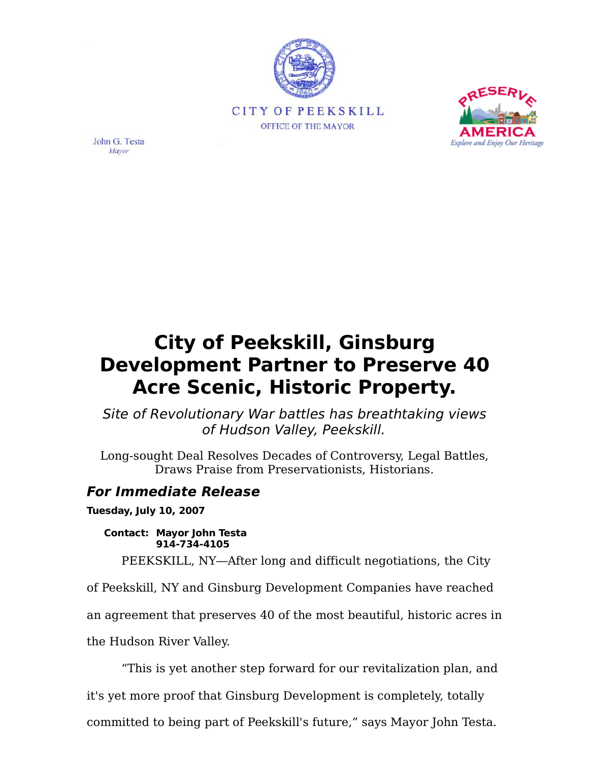



John G. Testa Mayor

## **City of Peekskill, Ginsburg Development Partner to Preserve 40 Acre Scenic, Historic Property.**

Site of Revolutionary War battles has breathtaking views of Hudson Valley, Peekskill.

Long-sought Deal Resolves Decades of Controversy, Legal Battles, Draws Praise from Preservationists, Historians.

## **For Immediate Release**

**Tuesday, July 10, 2007**

**Contact: Mayor John Testa 914-734-4105**

PEEKSKILL, NY-After long and difficult negotiations, the City

of Peekskill, NY and Ginsburg Development Companies have reached

an agreement that preserves 40 of the most beautiful, historic acres in

the Hudson River Valley.

This is yet another step forward for our revitalization plan, and

it's yet more proof that Ginsburg Development is completely, totally

committed to being part of Peekskill's future," says Mayor John Testa.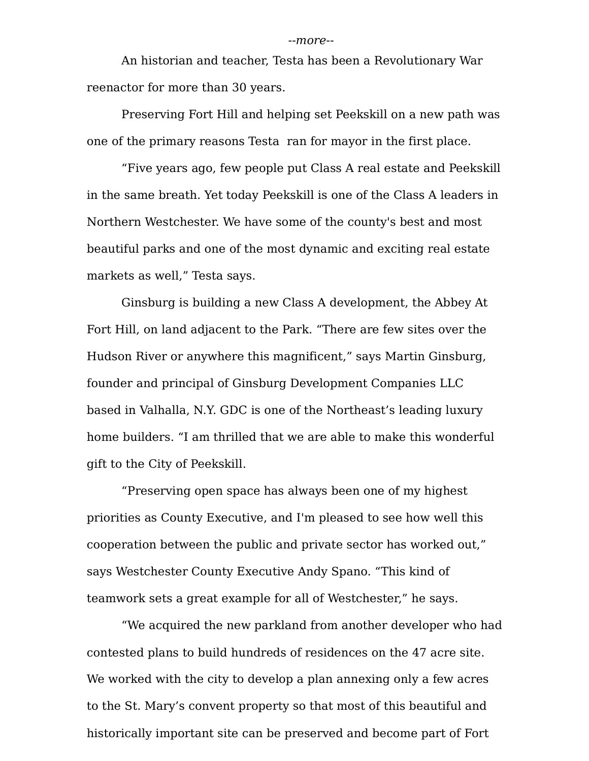An historian and teacher, Testa has been a Revolutionary War reenactor for more than 30 years.

Preserving Fort Hill and helping set Peekskill on a new path was one of the primary reasons Testa ran for mayor in the first place.

Five years ago, few people put Class A real estate and Peekskill in the same breath. Yet today Peekskill is one of the Class A leaders in Northern Westchester. We have some of the county's best and most beautiful parks and one of the most dynamic and exciting real estate markets as well," Testa says.

Ginsburg is building a new Class A development, the Abbey At Fort Hill, on land adjacent to the Park. "There are few sites over the Hudson River or anywhere this magnificent," says Martin Ginsburg, founder and principal of Ginsburg Development Companies LLC based in Valhalla, N.Y. GDC is one of the Northeast's leading luxury home builders. "I am thrilled that we are able to make this wonderful gift to the City of Peekskill.

Preserving open space has always been one of my highest priorities as County Executive, and I'm pleased to see how well this cooperation between the public and private sector has worked out, says Westchester County Executive Andy Spano. "This kind of teamwork sets a great example for all of Westchester," he says.

We acquired the new parkland from another developer who had contested plans to build hundreds of residences on the 47 acre site. We worked with the city to develop a plan annexing only a few acres to the St. Marys convent property so that most of this beautiful and historically important site can be preserved and become part of Fort

## --more--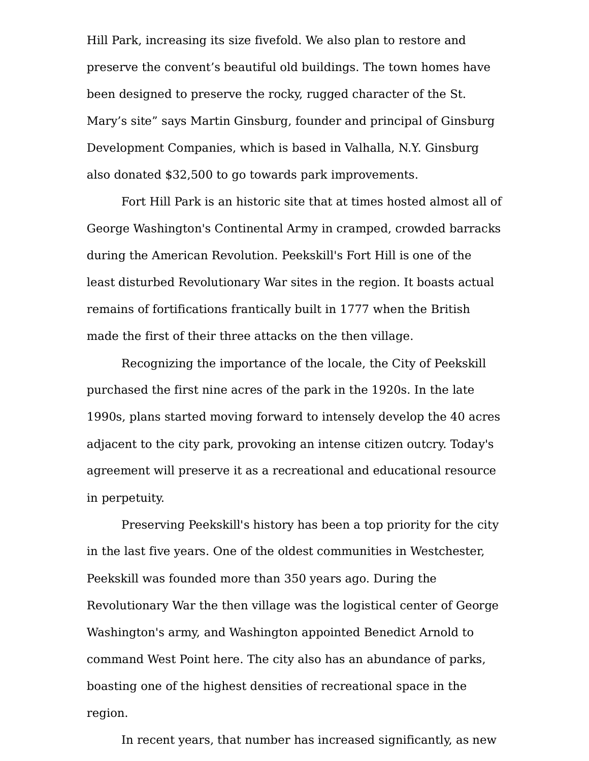Hill Park, increasing its size fivefold. We also plan to restore and preserve the convent's beautiful old buildings. The town homes have been designed to preserve the rocky, rugged character of the St. Mary's site" says Martin Ginsburg, founder and principal of Ginsburg Development Companies, which is based in Valhalla, N.Y. Ginsburg also donated \$32,500 to go towards park improvements.

Fort Hill Park is an historic site that at times hosted almost all of George Washington's Continental Army in cramped, crowded barracks during the American Revolution. Peekskill's Fort Hill is one of the least disturbed Revolutionary War sites in the region. It boasts actual remains of fortifications frantically built in 1777 when the British made the first of their three attacks on the then village.

Recognizing the importance of the locale, the City of Peekskill purchased the first nine acres of the park in the 1920s. In the late 1990s, plans started moving forward to intensely develop the 40 acres adjacent to the city park, provoking an intense citizen outcry. Today's agreement will preserve it as a recreational and educational resource in perpetuity.

Preserving Peekskill's history has been a top priority for the city in the last five years. One of the oldest communities in Westchester, Peekskill was founded more than 350 years ago. During the Revolutionary War the then village was the logistical center of George Washington's army, and Washington appointed Benedict Arnold to command West Point here. The city also has an abundance of parks, boasting one of the highest densities of recreational space in the region.

In recent years, that number has increased significantly, as new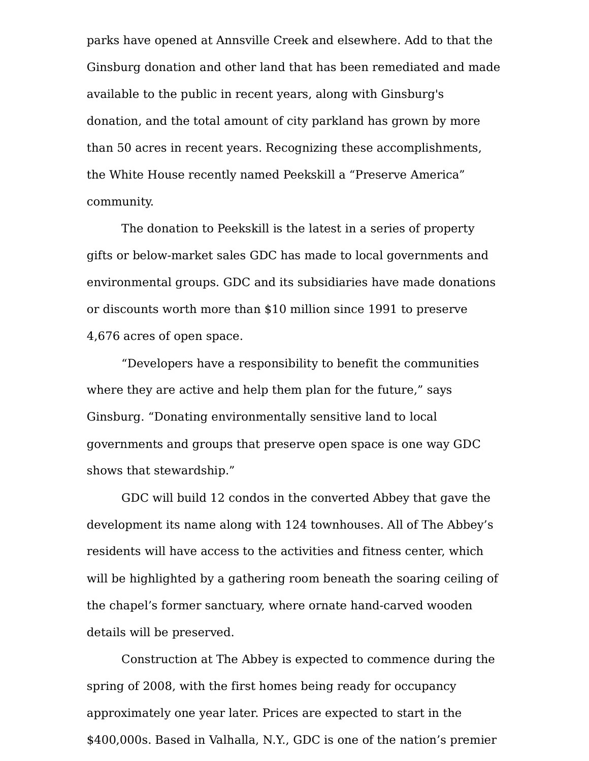parks have opened at Annsville Creek and elsewhere. Add to that the Ginsburg donation and other land that has been remediated and made available to the public in recent years, along with Ginsburg's donation, and the total amount of city parkland has grown by more than 50 acres in recent years. Recognizing these accomplishments, the White House recently named Peekskill a "Preserve America" community.

The donation to Peekskill is the latest in a series of property gifts or below-market sales GDC has made to local governments and environmental groups. GDC and its subsidiaries have made donations or discounts worth more than \$10 million since 1991 to preserve 4,676 acres of open space.

Developers have a responsibility to benefit the communities where they are active and help them plan for the future," says Ginsburg. "Donating environmentally sensitive land to local governments and groups that preserve open space is one way GDC shows that stewardship."

GDC will build 12 condos in the converted Abbey that gave the development its name along with 124 townhouses. All of The Abbey's residents will have access to the activities and fitness center, which will be highlighted by a gathering room beneath the soaring ceiling of the chapel's former sanctuary, where ornate hand-carved wooden details will be preserved.

Construction at The Abbey is expected to commence during the spring of 2008, with the first homes being ready for occupancy approximately one year later. Prices are expected to start in the \$400,000s. Based in Valhalla, N.Y., GDC is one of the nation's premier